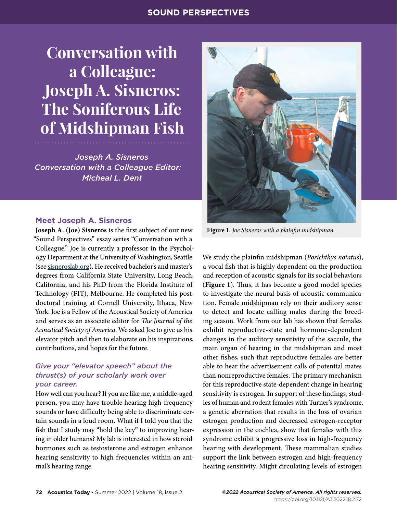# **SOUND PERSPECTIVES**

# **Conversation with a Colleague: Joseph A. Sisneros: The Soniferous Life of Midshipman Fish**

*Joseph A. Sisneros Conversation with a Colleague Editor: Micheal L. Dent*

#### **Meet Joseph A. Sisneros**

**Joseph A. (Joe) Sisneros** is the first subject of our new "Sound Perspectives" essay series "Conversation with a Colleague." Joe is currently a professor in the Psychology Department at the University of Washington, Seattle (see [sisneroslab.org\)](http://sisneroslab.org). He received bachelor's and master's degrees from California State University, Long Beach, California, and his PhD from the Florida Institute of Technology (FIT), Melbourne. He completed his postdoctoral training at Cornell University, Ithaca, New York. Joe is a Fellow of the Acoustical Society of America and serves as an associate editor for *The Journal of the Acoustical Society of America*. We asked Joe to give us his elevator pitch and then to elaborate on his inspirations, contributions, and hopes for the future.

#### *Give your "elevator speech" about the thrust(s) of your scholarly work over your career.*

How well can you hear? If you are like me, a middle-aged person, you may have trouble hearing high-frequency sounds or have difficulty being able to discriminate certain sounds in a loud room. What if I told you that the fish that I study may "hold the key" to improving hearing in older humans? My lab is interested in how steroid hormones such as testosterone and estrogen enhance hearing sensitivity to high frequencies within an animal's hearing range.



**Figure 1.** *Joe Sisneros with a plainfin midshipman.*

We study the plainfin midshipman (*Porichthys notatus*), a vocal fish that is highly dependent on the production and reception of acoustic signals for its social behaviors (**Figure 1**). Thus, it has become a good model species to investigate the neural basis of acoustic communication. Female midshipman rely on their auditory sense to detect and locate calling males during the breeding season. Work from our lab has shown that females exhibit reproductive-state and hormone-dependent changes in the auditory sensitivity of the saccule, the main organ of hearing in the midshipman and most other fishes, such that reproductive females are better able to hear the advertisement calls of potential mates than nonreproductive females. The primary mechanism for this reproductive state-dependent change in hearing sensitivity is estrogen. In support of these findings, studies of human and rodent females with Turner's syndrome, a genetic aberration that results in the loss of ovarian estrogen production and decreased estrogen-receptor expression in the cochlea, show that females with this syndrome exhibit a progressive loss in high-frequency hearing with development. These mammalian studies support the link between estrogen and high-frequency hearing sensitivity. Might circulating levels of estrogen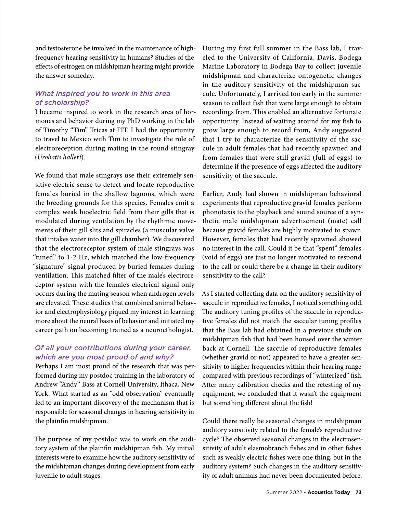and testosterone be involved in the maintenance of highfrequency hearing sensitivity in humans? Studies of the effects of estrogen on midshipman hearing might provide the answer someday.

# *What inspired you to work in this area of scholarship?*

I became inspired to work in the research area of hormones and behavior during my PhD working in the lab of Timothy "Tim" Tricas at FIT. I had the opportunity to travel to Mexico with Tim to investigate the role of electroreception during mating in the round stingray (*Urobatis halleri*).

We found that male stingrays use their extremely sensitive electric sense to detect and locate reproductive females buried in the shallow lagoons, which were the breeding grounds for this species. Females emit a complex weak bioelectric field from their gills that is modulated during ventilation by the rhythmic movements of their gill slits and spiracles (a muscular valve that intakes water into the gill chamber). We discovered that the electroreceptor system of male stingrays was "tuned" to 1-2 Hz, which matched the low-frequency "signature" signal produced by buried females during ventilation. This matched filter of the male's electroreceptor system with the female's electrical signal only occurs during the mating season when androgen levels are elevated. These studies that combined animal behavior and electrophysiology piqued my interest in learning more about the neural basis of behavior and initiated my career path on becoming trained as a neuroethologist.

# *Of all your contributions during your career, which are you most proud of and why?*

Perhaps I am most proud of the research that was performed during my postdoc training in the laboratory of Andrew "Andy" Bass at Cornell University, Ithaca, New York. What started as an "odd observation" eventually led to an important discovery of the mechanism that is responsible for seasonal changes in hearing sensitivity in the plainfin midshipman.

The purpose of my postdoc was to work on the auditory system of the plainfin midshipman fish. My initial interests were to examine how the auditory sensitivity of the midshipman changes during development from early juvenile to adult stages.

During my first full summer in the Bass lab, I traveled to the University of California, Davis, Bodega Marine Laboratory in Bodega Bay to collect juvenile midshipman and characterize ontogenetic changes in the auditory sensitivity of the midshipman saccule. Unfortunately, I arrived too early in the summer season to collect fish that were large enough to obtain recordings from. This enabled an alternative fortunate opportunity. Instead of waiting around for my fish to grow large enough to record from, Andy suggested that I try to characterize the sensitivity of the saccule in adult females that had recently spawned and from females that were still gravid (full of eggs) to determine if the presence of eggs affected the auditory sensitivity of the saccule.

Earlier, Andy had shown in midshipman behavioral experiments that reproductive gravid females perform phonotaxis to the playback and sound source of a synthetic male midshipman advertisement (mate) call because gravid females are highly motivated to spawn. However, females that had recently spawned showed no interest in the call. Could it be that "spent" females (void of eggs) are just no longer motivated to respond to the call or could there be a change in their auditory sensitivity to the call?

As I started collecting data on the auditory sensitivity of saccule in reproductive females, I noticed something odd. The auditory tuning profiles of the saccule in reproductive females did not match the saccular tuning profiles that the Bass lab had obtained in a previous study on midshipman fish that had been housed over the winter back at Cornell. The saccule of reproductive females (whether gravid or not) appeared to have a greater sensitivity to higher frequencies within their hearing range compared with previous recordings of "winterized" fish. After many calibration checks and the retesting of my equipment, we concluded that it wasn't the equipment but something different about the fish!

Could there really be seasonal changes in midshipman auditory sensitivity related to the female's reproductive cycle? The observed seasonal changes in the electrosensitivity of adult elasmobranch fishes and in other fishes such as weakly electric fishes were one thing, but in the auditory system? Such changes in the auditory sensitivity of adult animals had never been documented before.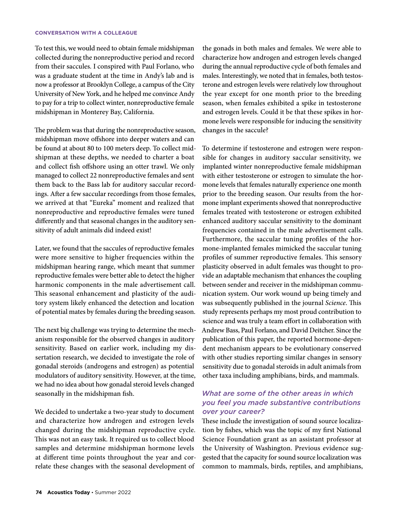#### **CONVERSATION WITH A COLLEAGUE**

To test this, we would need to obtain female midshipman collected during the nonreproductive period and record from their saccules. I conspired with Paul Forlano, who was a graduate student at the time in Andy's lab and is now a professor at Brooklyn College, a campus of the City University of New York, and he helped me convince Andy to pay for a trip to collect winter, nonreproductive female midshipman in Monterey Bay, California.

The problem was that during the nonreproductive season, midshipman move offshore into deeper waters and can be found at about 80 to 100 meters deep. To collect midshipman at these depths, we needed to charter a boat and collect fish offshore using an otter trawl. We only managed to collect 22 nonreproductive females and sent them back to the Bass lab for auditory saccular recordings. After a few saccular recordings from those females, we arrived at that "Eureka" moment and realized that nonreproductive and reproductive females were tuned differently and that seasonal changes in the auditory sensitivity of adult animals did indeed exist!

Later, we found that the saccules of reproductive females were more sensitive to higher frequencies within the midshipman hearing range, which meant that summer reproductive females were better able to detect the higher harmonic components in the male advertisement call. This seasonal enhancement and plasticity of the auditory system likely enhanced the detection and location of potential mates by females during the breeding season.

The next big challenge was trying to determine the mechanism responsible for the observed changes in auditory sensitivity. Based on earlier work, including my dissertation research, we decided to investigate the role of gonadal steroids (androgens and estrogen) as potential modulators of auditory sensitivity. However, at the time, we had no idea about how gonadal steroid levels changed seasonally in the midshipman fish.

We decided to undertake a two-year study to document and characterize how androgen and estrogen levels changed during the midshipman reproductive cycle. This was not an easy task. It required us to collect blood samples and determine midshipman hormone levels at different time points throughout the year and correlate these changes with the seasonal development of

the gonads in both males and females. We were able to characterize how androgen and estrogen levels changed during the annual reproductive cycle of both females and males. Interestingly, we noted that in females, both testosterone and estrogen levels were relatively low throughout the year except for one month prior to the breeding season, when females exhibited a spike in testosterone and estrogen levels. Could it be that these spikes in hormone levels were responsible for inducing the sensitivity changes in the saccule?

To determine if testosterone and estrogen were responsible for changes in auditory saccular sensitivity, we implanted winter nonreproductive female midshipman with either testosterone or estrogen to simulate the hormone levels that females naturally experience one month prior to the breeding season. Our results from the hormone implant experiments showed that nonreproductive females treated with testosterone or estrogen exhibited enhanced auditory saccular sensitivity to the dominant frequencies contained in the male advertisement calls. Furthermore, the saccular tuning profiles of the hormone-implanted females mimicked the saccular tuning profiles of summer reproductive females. This sensory plasticity observed in adult females was thought to provide an adaptable mechanism that enhances the coupling between sender and receiver in the midshipman communication system. Our work wound up being timely and was subsequently published in the journal *Science*. This study represents perhaps my most proud contribution to science and was truly a team effort in collaboration with Andrew Bass, Paul Forlano, and David Deitcher. Since the publication of this paper, the reported hormone-dependent mechanism appears to be evolutionary conserved with other studies reporting similar changes in sensory sensitivity due to gonadal steroids in adult animals from other taxa including amphibians, birds, and mammals.

## *What are some of the other areas in which you feel you made substantive contributions over your career?*

These include the investigation of sound source localization by fishes, which was the topic of my first National Science Foundation grant as an assistant professor at the University of Washington. Previous evidence suggested that the capacity for sound source localization was common to mammals, birds, reptiles, and amphibians,